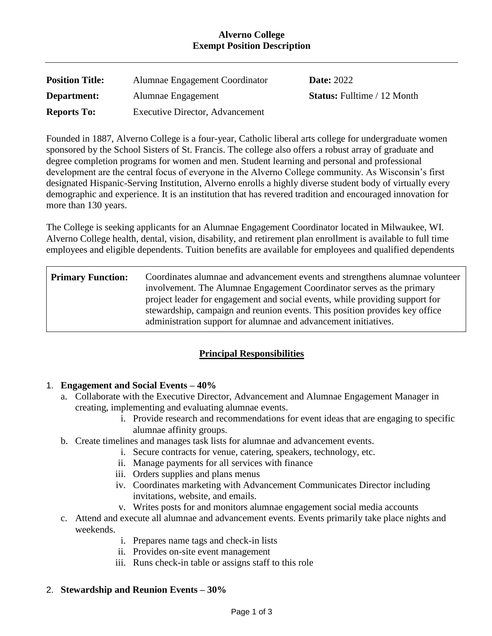### **Alverno College Exempt Position Description**

| <b>Position Title:</b> | Alumnae Engagement Coordinator         | <b>Date: 2022</b>                  |
|------------------------|----------------------------------------|------------------------------------|
| Department:            | Alumnae Engagement                     | <b>Status:</b> Fulltime / 12 Month |
| <b>Reports To:</b>     | <b>Executive Director, Advancement</b> |                                    |

Founded in 1887, Alverno College is a four-year, Catholic liberal arts college for undergraduate women sponsored by the School Sisters of St. Francis. The college also offers a robust array of graduate and degree completion programs for women and men. Student learning and personal and professional development are the central focus of everyone in the Alverno College community. As Wisconsin's first designated Hispanic-Serving Institution, Alverno enrolls a highly diverse student body of virtually every demographic and experience. It is an institution that has revered tradition and encouraged innovation for more than 130 years.

The College is seeking applicants for an Alumnae Engagement Coordinator located in Milwaukee, WI. Alverno College health, dental, vision, disability, and retirement plan enrollment is available to full time employees and eligible dependents. Tuition benefits are available for employees and qualified dependents

| <b>Primary Function:</b> | Coordinates alumnae and advancement events and strengthens alumnae volunteer<br>involvement. The Alumnae Engagement Coordinator serves as the primary<br>project leader for engagement and social events, while providing support for<br>stewardship, campaign and reunion events. This position provides key office |
|--------------------------|----------------------------------------------------------------------------------------------------------------------------------------------------------------------------------------------------------------------------------------------------------------------------------------------------------------------|
|                          | administration support for alumnae and advancement initiatives.                                                                                                                                                                                                                                                      |

# **Principal Responsibilities**

### 1. **Engagement and Social Events – 40%**

- a. Collaborate with the Executive Director, Advancement and Alumnae Engagement Manager in creating, implementing and evaluating alumnae events.
	- i. Provide research and recommendations for event ideas that are engaging to specific alumnae affinity groups.
- b. Create timelines and manages task lists for alumnae and advancement events.
	- i. Secure contracts for venue, catering, speakers, technology, etc.
	- ii. Manage payments for all services with finance
	- iii. Orders supplies and plans menus
	- iv. Coordinates marketing with Advancement Communicates Director including invitations, website, and emails.
	- v. Writes posts for and monitors alumnae engagement social media accounts
- c. Attend and execute all alumnae and advancement events. Events primarily take place nights and weekends.
	- i. Prepares name tags and check-in lists
	- ii. Provides on-site event management
	- iii. Runs check-in table or assigns staff to this role
- 2. **Stewardship and Reunion Events – 30%**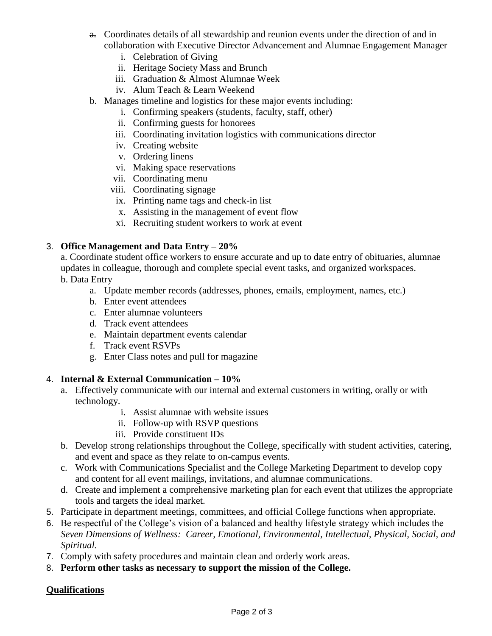- a. Coordinates details of all stewardship and reunion events under the direction of and in collaboration with Executive Director Advancement and Alumnae Engagement Manager
	- i. Celebration of Giving
	- ii. Heritage Society Mass and Brunch
	- iii. Graduation & Almost Alumnae Week
	- iv. Alum Teach & Learn Weekend
- b. Manages timeline and logistics for these major events including:
	- i. Confirming speakers (students, faculty, staff, other)
	- ii. Confirming guests for honorees
	- iii. Coordinating invitation logistics with communications director
	- iv. Creating website
	- v. Ordering linens
	- vi. Making space reservations
	- vii. Coordinating menu
	- viii. Coordinating signage
		- ix. Printing name tags and check-in list
		- x. Assisting in the management of event flow
	- xi. Recruiting student workers to work at event

#### 3. **Office Management and Data Entry – 20%**

a. Coordinate student office workers to ensure accurate and up to date entry of obituaries, alumnae updates in colleague, thorough and complete special event tasks, and organized workspaces. b. Data Entry

- a. Update member records (addresses, phones, emails, employment, names, etc.)
- b. Enter event attendees
- c. Enter alumnae volunteers
- d. Track event attendees
- e. Maintain department events calendar
- f. Track event RSVPs
- g. Enter Class notes and pull for magazine

#### 4. **Internal & External Communication – 10%**

- a. Effectively communicate with our internal and external customers in writing, orally or with technology.
	- i. Assist alumnae with website issues
	- ii. Follow-up with RSVP questions
	- iii. Provide constituent IDs
- b. Develop strong relationships throughout the College, specifically with student activities, catering, and event and space as they relate to on-campus events.
- c. Work with Communications Specialist and the College Marketing Department to develop copy and content for all event mailings, invitations, and alumnae communications.
- d. Create and implement a comprehensive marketing plan for each event that utilizes the appropriate tools and targets the ideal market.
- 5. Participate in department meetings, committees, and official College functions when appropriate.
- 6. Be respectful of the College's vision of a balanced and healthy lifestyle strategy which includes the *Seven Dimensions of Wellness: Career, Emotional, Environmental, Intellectual, Physical, Social, and Spiritual.*
- 7. Comply with safety procedures and maintain clean and orderly work areas.
- 8. **Perform other tasks as necessary to support the mission of the College.**

### **Qualifications**